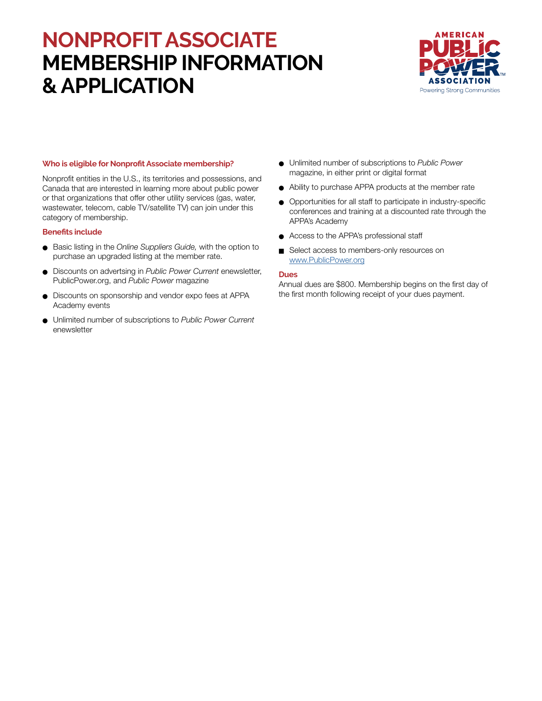# **NONPROFIT ASSOCIATE MEMBERSHIP INFORMATION & APPLICATION**



### **Who is eligible for Nonprofit Associate membership?**

Nonprofit entities in the U.S., its territories and possessions, and Canada that are interested in learning more about public power or that organizations that offer other utility services (gas, water, wastewater, telecom, cable TV/satellite TV) can join under this category of membership.

#### **Benefits include**

- **e** Basic listing in the *Online Suppliers Guide*, with the option to purchase an upgraded listing at the member rate.
- **.** Discounts on advertsing in *Public Power Current* enewsletter, PublicPower.org, and *Public Power* magazine
- **.** Discounts on sponsorship and vendor expo fees at APPA Academy events
- <sup>l</sup> Unlimited number of subscriptions to *Public Power Current* enewsletter
- <sup>l</sup> Unlimited number of subscriptions to *Public Power* magazine, in either print or digital format
- <sup>l</sup> Ability to purchase APPA products at the member rate
- <sup>l</sup> Opportunities for all staff to participate in industry-specific conferences and training at a discounted rate through the APPA's Academy
- **•** Access to the APPA's professional staff
- Select access to members-only resources on [www.PublicPower.org](https://www.publicpower.org/)

#### **Dues**

Annual dues are \$800. Membership begins on the first day of the first month following receipt of your dues payment.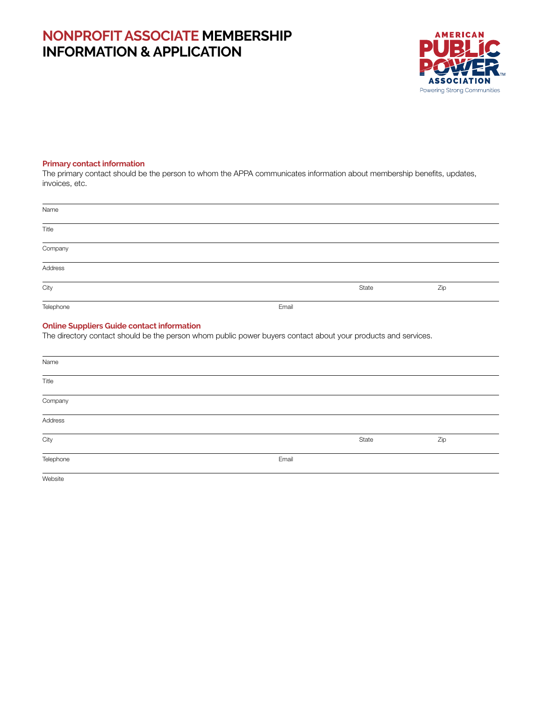# **NONPROFIT ASSOCIATE MEMBERSHIP INFORMATION & APPLICATION**

Telephone Email



# **Primary contact information**

The primary contact should be the person to whom the APPA communicates information about membership benefits, updates, invoices, etc.

| Name                                              |                                                                                                               |       |     |
|---------------------------------------------------|---------------------------------------------------------------------------------------------------------------|-------|-----|
| Title                                             |                                                                                                               |       |     |
| Company                                           |                                                                                                               |       |     |
| Address                                           |                                                                                                               |       |     |
| City                                              |                                                                                                               | State | Zip |
| Telephone                                         | Email                                                                                                         |       |     |
| <b>Online Suppliers Guide contact information</b> | The directory contact should be the person whom public power buyers contact about your products and services. |       |     |
| Name                                              |                                                                                                               |       |     |
| Title                                             |                                                                                                               |       |     |
| Company                                           |                                                                                                               |       |     |
| Address                                           |                                                                                                               |       |     |
| City                                              |                                                                                                               | State | Zip |

Website